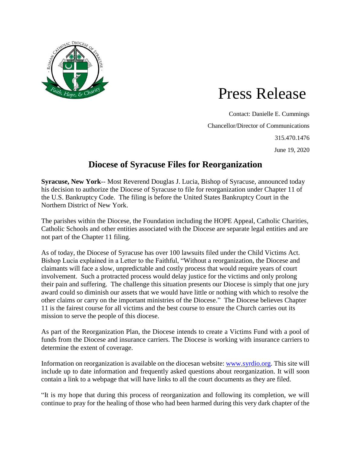

## Press Release

Contact: Danielle E. Cummings Chancellor/Director of Communications 315.470.1476 June 19, 2020

## **Diocese of Syracuse Files for Reorganization**

**Syracuse, New York**-- Most Reverend Douglas J. Lucia, Bishop of Syracuse, announced today his decision to authorize the Diocese of Syracuse to file for reorganization under Chapter 11 of the U.S. Bankruptcy Code. The filing is before the United States Bankruptcy Court in the Northern District of New York.

The parishes within the Diocese, the Foundation including the HOPE Appeal, Catholic Charities, Catholic Schools and other entities associated with the Diocese are separate legal entities and are not part of the Chapter 11 filing.

As of today, the Diocese of Syracuse has over 100 lawsuits filed under the Child Victims Act. Bishop Lucia explained in a Letter to the Faithful, "Without a reorganization, the Diocese and claimants will face a slow, unpredictable and costly process that would require years of court involvement. Such a protracted process would delay justice for the victims and only prolong their pain and suffering. The challenge this situation presents our Diocese is simply that one jury award could so diminish our assets that we would have little or nothing with which to resolve the other claims or carry on the important ministries of the Diocese." The Diocese believes Chapter 11 is the fairest course for all victims and the best course to ensure the Church carries out its mission to serve the people of this diocese.

As part of the Reorganization Plan, the Diocese intends to create a Victims Fund with a pool of funds from the Diocese and insurance carriers. The Diocese is working with insurance carriers to determine the extent of coverage.

Information on reorganization is available on the diocesan website: [www.syrdio.org.](http://www.syrdio.org/) This site will include up to date information and frequently asked questions about reorganization. It will soon contain a link to a webpage that will have links to all the court documents as they are filed.

"It is my hope that during this process of reorganization and following its completion, we will continue to pray for the healing of those who had been harmed during this very dark chapter of the